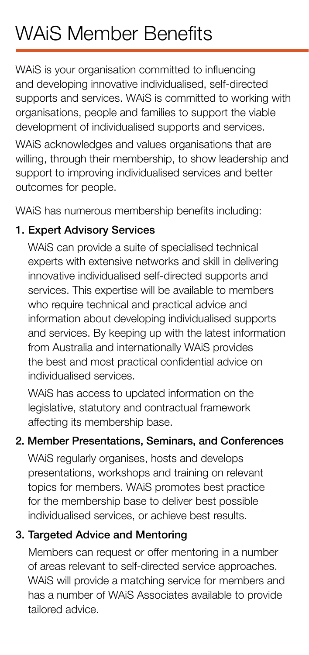# WAiS Member Benefits

WAiS is your organisation committed to influencing and developing innovative individualised, self-directed supports and services. WAiS is committed to working with organisations, people and families to support the viable development of individualised supports and services.

WAiS acknowledges and values organisations that are willing, through their membership, to show leadership and support to improving individualised services and better outcomes for people.

WAiS has numerous membership benefits including:

## 1. Expert Advisory Services

WAiS can provide a suite of specialised technical experts with extensive networks and skill in delivering innovative individualised self-directed supports and services. This expertise will be available to members who require technical and practical advice and information about developing individualised supports and services. By keeping up with the latest information from Australia and internationally WAiS provides the best and most practical confidential advice on individualised services.

WAiS has access to updated information on the legislative, statutory and contractual framework affecting its membership base.

### 2. Member Presentations, Seminars, and Conferences

WAiS regularly organises, hosts and develops presentations, workshops and training on relevant topics for members. WAiS promotes best practice for the membership base to deliver best possible individualised services, or achieve best results.

## 3. Targeted Advice and Mentoring

Members can request or offer mentoring in a number of areas relevant to self-directed service approaches. WAiS will provide a matching service for members and has a number of WAiS Associates available to provide tailored advice.